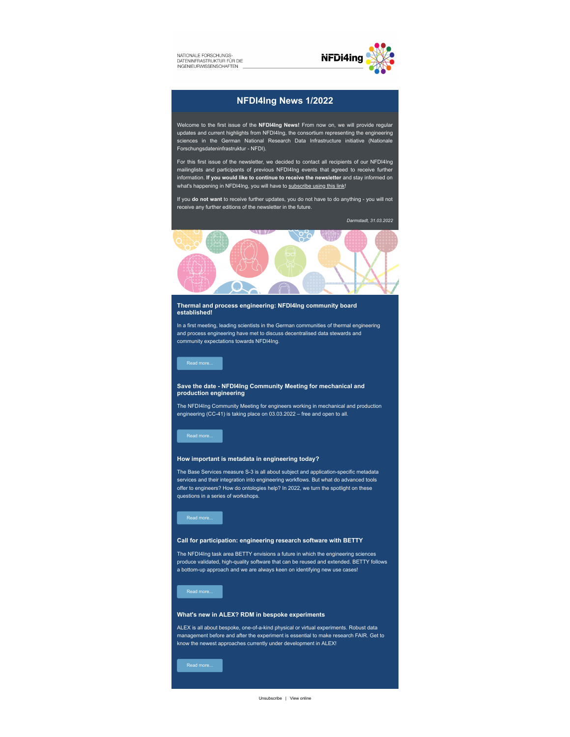NATIONALE FORSCHUNGS-DATENINFRASTRUKTUR FÜR DIE



# **NFDI4Ing News 1/2022**

Welcome to the first issue of the **NFDI4Ing News!** From now on, we will provide regular updates and current highlights from NFDI4Ing, the consortium representing the engineering sciences in the German National Research Data Infrastructure initiative (Nationale Forschungsdateninfrastruktur - NFDI).

For this first issue of the newsletter, we decided to contact all recipients of our NFDI4Ing mailinglists and participants of previous NFDI4Ing events that agreed to receive further information. **If you would like to continue to receive the newsletter** and stay informed on what's happening in NFDI4Ing, you will have to [subscribe using this link](https://nfdi4ing.de/news#newsletter_registration)!

If you **do not want** to receive further updates, you do not have to do anything - you will not receive any further editions of the newsletter in the future.

*Darmstadt, 31.03.2022*



### **Thermal and process engineering: NFDI4Ing community board established!**

In a first meeting, leading scientists in the German communities of thermal engineering and process engineering have met to discuss decentralised data stewards and community expectations towards NFDI4Ing.

# **Save the date - NFDI4Ing Community Meeting for mechanical and production engineering**

The NFDI4Ing Community Meeting for engineers working in mechanical and production engineering (CC-41) is taking place on 03.03.2022 – free and open to all.

# **How important is metadata in engineering today?**

The Base Services measure S-3 is all about subject and application-specific metadata services and their integration into engineering workflows. But what do advanced tools offer to engineers? How do ontologies help? In 2022, we turn the spotlight on these questions in a series of workshops.



#### **Call for participation: engineering research software with BETTY**

The NFDI4Ing task area BETTY envisions a future in which the engineering sciences produce validated, high-quality software that can be reused and extended. BETTY follows a bottom-up approach and we are always keen on identifying new use cases!

## **What's new in ALEX? RDM in bespoke experiments**

ALEX is all about bespoke, one-of-a-kind physical or virtual experiments. Robust data management before and after the experiment is essential to make research FAIR. Get to know the newest approaches currently under development in ALEX!